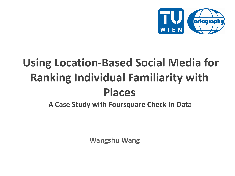

# **Using Location-Based Social Media for Ranking Individual Familiarity with Places**

**A Case Study with Foursquare Check-in Data** 

**Wangshu Wang**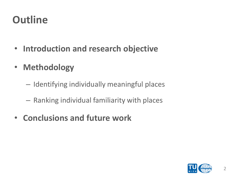## **Outline**

- **Introduction and research objective**
- **Methodology**
	- Identifying individually meaningful places
	- Ranking individual familiarity with places
- **Conclusions and future work**

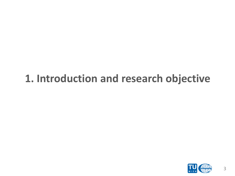#### **1. Introduction and research objective**

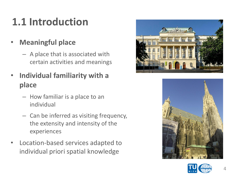# **1.1 Introduction**

- **Meaningful place**
	- A place that is associated with certain activities and meanings
- **Individual familiarity with a place** 
	- How familiar is a place to an individual
	- Can be inferred as visiting frequency, the extensity and intensity of the experiences
- Location-based services adapted to individual priori spatial knowledge





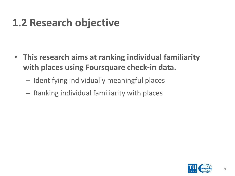## **1.2 Research objective**

- **This research aims at ranking individual familiarity with places using Foursquare check-in data.**
	- Identifying individually meaningful places
	- Ranking individual familiarity with places

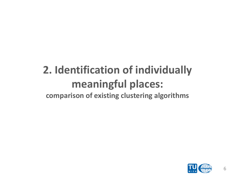#### **2. Identification of individually meaningful places: comparison of existing clustering algorithms**

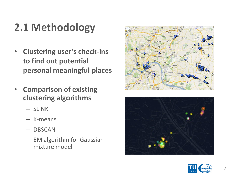# **2.1 Methodology**

- **Clustering user's check-ins to find out potential personal meaningful places**
- **Comparison of existing clustering algorithms**
	- SLINK
	- K-means
	- DBSCAN
	- EM algorithm for Gaussian mixture model





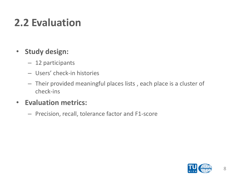## **2.2 Evaluation**

#### • **Study design:**

- 12 participants
- Users' check-in histories
- Their provided meaningful places lists , each place is a cluster of check-ins

#### • **Evaluation metrics:**

– Precision, recall, tolerance factor and F1-score

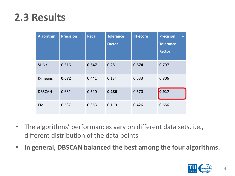#### **2.3 Results**

| <b>Algorithm</b> | <b>Precision</b> | <b>Recall</b> | <b>Tolerance</b><br><b>Factor</b> | F1-score | <b>Precision</b><br>$\ddot{\phantom{1}}$<br><b>Tolerance</b><br><b>Factor</b> |
|------------------|------------------|---------------|-----------------------------------|----------|-------------------------------------------------------------------------------|
| <b>SLINK</b>     | 0.516            | 0.647         | 0.281                             | 0.574    | 0.797                                                                         |
| K-means          | 0.672            | 0.441         | 0.134                             | 0.533    | 0.806                                                                         |
| <b>DBSCAN</b>    | 0.631            | 0.520         | 0.286                             | 0.570    | 0.917                                                                         |
| <b>EM</b>        | 0.537            | 0.353         | 0.119                             | 0.426    | 0.656                                                                         |

- The algorithms' performances vary on different data sets, i.e., different distribution of the data points
- **In general, DBSCAN balanced the best among the four algorithms.**

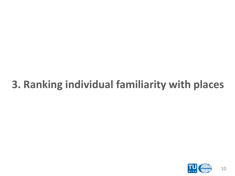# **3. Ranking individual familiarity with places**

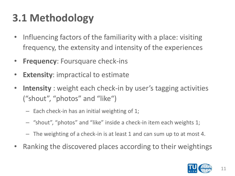# **3.1 Methodology**

- Influencing factors of the familiarity with a place: visiting frequency, the extensity and intensity of the experiences
- **Frequency**: Foursquare check-ins
- **Extensity**: impractical to estimate
- **Intensity** : weight each check-in by user's tagging activities ("shout", "photos" and "like")
	- Each check-in has an initial weighting of 1;
	- "shout", "photos" and "like" inside a check-in item each weights 1;
	- The weighting of a check-in is at least 1 and can sum up to at most 4.
- Ranking the discovered places according to their weightings

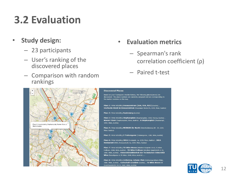## **3.2 Evaluation**

- **Study design:**
	- 23 participants
	- User's ranking of the discovered places
	- Comparison with random rankings

#### • **Evaluation metrics**

- Spearman's rank correlation coefficient (ρ)
- Paired t-test



#### **Discovered Places**

Based on your Foursquare checkin history, the following places(areas) are discovered. The place numbers are randomly assigned and are corresponding to the marker numbers on the map.

Place 1: Area including Donauzentrum (26A, 93A, N25) (Austria), Starbucks Kiosk im Donauzentrum (Wagramer Straße 81, 1200, Wien, Austria)

Place 2: Area including Rautenweg (Austria)

Place 3: Area including Stephansplatz (Stephansplatz, 1010, Vienna, Austria), Manner Store (Stephansplatz, Wien, Austria), U Stephansplatz (Stephanspl., 1010, Wien, Austria)

Place 4: Area including MERKUR Ihr Markt (Zwerchäckerweg 20 - 24, 1220, Wien, Austria)

Place 5: Area including S Traisengasse (Traisengasse, 1200, Wien, Austria)

Place 6: Area including IKEA (Sverigestr. 1a, 1220, Wien, Austria), IKEA Restaurant (IKEA, Sverigestraße 1a, 1220, Wien, Austria)

Place 7: Area including TU Wien Mensa (Wiedner Hauptstr. 8-10, TU Wien Freihaus, 1040, Wien, Austria), TU Wien Freihaus (Wiedner Hauptstraße 8-10, 1040, Wien, Austria), Universitätsbibliothek der Technischen Universität Wien (Resselgasse 4, TU Wien, 1040, Wien, Austria) ....

Place 8: Area including Erzherzog-Johann-Platz (Erzherzog-Johann-Platz, 1040, Wien, Austria), Fachschaft Geodäsie (Austria), TU Wien Neues EI (Gusshausstraße 24-29, 1040, Wien, Austria)

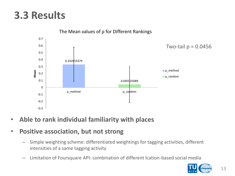#### **3.3 Results**



The Mean values of ρ for Different Rankings

- **Able to rank individual familiarity with places**
- **Positive association, but not strong**
	- Simple weighting scheme: differentiated weightings for tagging activities, different intensities of a same tagging activity
	- Limitation of Foursquare API: combination of different lcation-based social media

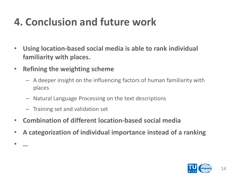## **4. Conclusion and future work**

- **Using location-based social media is able to rank individual familiarity with places.**
- **Refining the weighting scheme**
	- A deeper insight on the influencing factors of human familiarity with places
	- Natural Language Processing on the text descriptions
	- Training set and validation set

• **…**

- **Combination of different location-based social media**
- **A categorization of individual importance instead of a ranking**